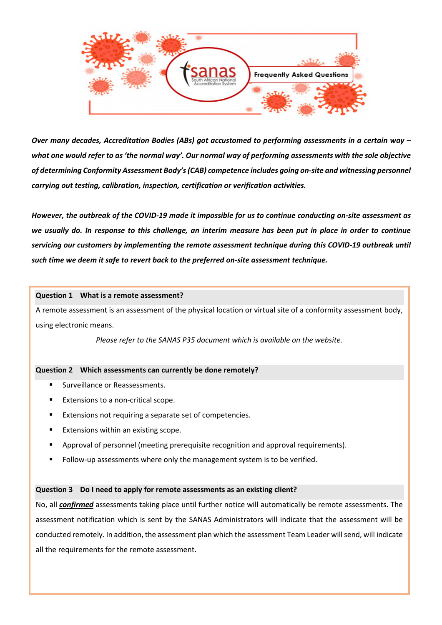

Over many decades, Accreditation Bodies (ABs) got accustomed to performing assessments in a certain way – what one would refer to as 'the normal way'. Our normal way of performing assessments with the sole objective of determining Conformity Assessment Body's (CAB) competence includes going on-site and witnessing personnel carrying out testing, calibration, inspection, certification or verification activities.

However, the outbreak of the COVID-19 made it impossible for us to continue conducting on-site assessment as we usually do. In response to this challenge, an interim measure has been put in place in order to continue servicing our customers by implementing the remote assessment technique during this COVID-19 outbreak until such time we deem it safe to revert back to the preferred on-site assessment technique.

#### Question 1 What is a remote assessment?

A remote assessment is an assessment of the physical location or virtual site of a conformity assessment body, using electronic means.

Please refer to the SANAS P35 document which is available on the website.

### Question 2 Which assessments can currently be done remotely?

- Surveillance or Reassessments.
- Extensions to a non-critical scope.
- Extensions not requiring a separate set of competencies.
- Extensions within an existing scope.
- Approval of personnel (meeting prerequisite recognition and approval requirements).
- Follow-up assessments where only the management system is to be verified.

### Question 3 Do I need to apply for remote assessments as an existing client?

No, all *confirmed* assessments taking place until further notice will automatically be remote assessments. The assessment notification which is sent by the SANAS Administrators will indicate that the assessment will be conducted remotely. In addition, the assessment plan which the assessment Team Leader will send, will indicate all the requirements for the remote assessment.